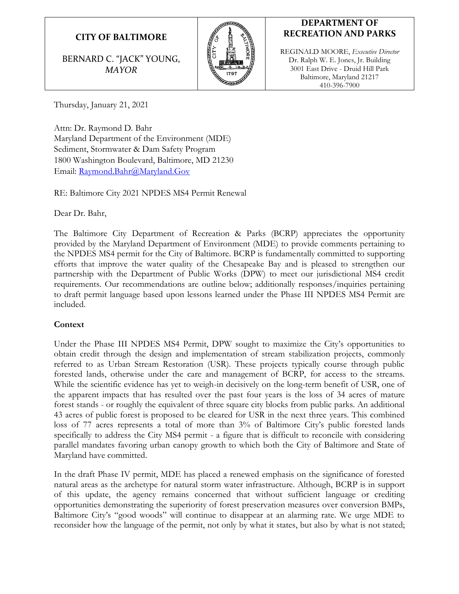# **CITY OF BALTIMORE**

BERNARD C. "JACK" YOUNG, *MAYOR*



## **DEPARTMENT OF RECREATION AND PARKS**

REGINALD MOORE, *Executive Director* Dr. Ralph W. E. Jones, Jr. Building 3001 East Drive - Druid Hill Park Baltimore, Maryland 21217 410-396-7900

Thursday, January 21, 2021

Attn: Dr. Raymond D*.* Bahr Maryland Department of the Environment (MDE) Sediment, Stormwater & Dam Safety Program 1800 Washington Boulevard, Baltimore, MD 21230 Email: [Raymond.Bahr@Maryland.Gov](mailto:Raymond.Bahr@Maryland.Gov)

RE: Baltimore City 2021 NPDES MS4 Permit Renewal

Dear Dr. Bahr,

The Baltimore City Department of Recreation & Parks (BCRP) appreciates the opportunity provided by the Maryland Department of Environment (MDE) to provide comments pertaining to the NPDES MS4 permit for the City of Baltimore. BCRP is fundamentally committed to supporting efforts that improve the water quality of the Chesapeake Bay and is pleased to strengthen our partnership with the Department of Public Works (DPW) to meet our jurisdictional MS4 credit requirements. Our recommendations are outline below; additionally responses/inquiries pertaining to draft permit language based upon lessons learned under the Phase III NPDES MS4 Permit are included.

### **Context**

Under the Phase III NPDES MS4 Permit, DPW sought to maximize the City's opportunities to obtain credit through the design and implementation of stream stabilization projects, commonly referred to as Urban Stream Restoration (USR). These projects typically course through public forested lands, otherwise under the care and management of BCRP, for access to the streams. While the scientific evidence has yet to weigh-in decisively on the long-term benefit of USR, one of the apparent impacts that has resulted over the past four years is the loss of 34 acres of mature forest stands - or roughly the equivalent of three square city blocks from public parks. An additional 43 acres of public forest is proposed to be cleared for USR in the next three years. This combined loss of 77 acres represents a total of more than 3% of Baltimore City's public forested lands specifically to address the City MS4 permit - a figure that is difficult to reconcile with considering parallel mandates favoring urban canopy growth to which both the City of Baltimore and State of Maryland have committed.

In the draft Phase IV permit, MDE has placed a renewed emphasis on the significance of forested natural areas as the archetype for natural storm water infrastructure. Although, BCRP is in support of this update, the agency remains concerned that without sufficient language or crediting opportunities demonstrating the superiority of forest preservation measures over conversion BMPs, Baltimore City's "good woods" will continue to disappear at an alarming rate. We urge MDE to reconsider how the language of the permit, not only by what it states, but also by what is not stated;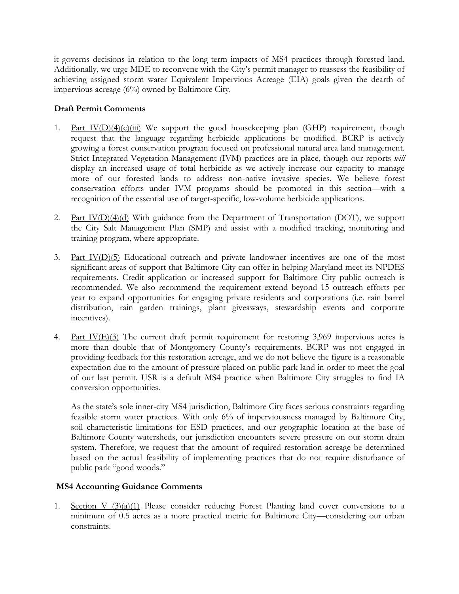it governs decisions in relation to the long-term impacts of MS4 practices through forested land. Additionally, we urge MDE to reconvene with the City's permit manager to reassess the feasibility of achieving assigned storm water Equivalent Impervious Acreage (EIA) goals given the dearth of impervious acreage (6%) owned by Baltimore City.

#### **Draft Permit Comments**

- 1. Part  $IV(D)(4)(c)(iii)$  We support the good housekeeping plan (GHP) requirement, though request that the language regarding herbicide applications be modified. BCRP is actively growing a forest conservation program focused on professional natural area land management. Strict Integrated Vegetation Management (IVM) practices are in place, though our reports *will*  display an increased usage of total herbicide as we actively increase our capacity to manage more of our forested lands to address non-native invasive species. We believe forest conservation efforts under IVM programs should be promoted in this section—with a recognition of the essential use of target-specific, low-volume herbicide applications.
- 2. Part IV(D)(4)(d) With guidance from the Department of Transportation (DOT), we support the City Salt Management Plan (SMP) and assist with a modified tracking, monitoring and training program, where appropriate.
- 3. Part IV(D)(5) Educational outreach and private landowner incentives are one of the most significant areas of support that Baltimore City can offer in helping Maryland meet its NPDES requirements. Credit application or increased support for Baltimore City public outreach is recommended. We also recommend the requirement extend beyond 15 outreach efforts per year to expand opportunities for engaging private residents and corporations (i.e. rain barrel distribution, rain garden trainings, plant giveaways, stewardship events and corporate incentives).
- 4. Part  $IV(E)(3)$  The current draft permit requirement for restoring 3,969 impervious acres is more than double that of Montgomery County's requirements. BCRP was not engaged in providing feedback for this restoration acreage, and we do not believe the figure is a reasonable expectation due to the amount of pressure placed on public park land in order to meet the goal of our last permit. USR is a default MS4 practice when Baltimore City struggles to find IA conversion opportunities.

As the state's sole inner-city MS4 jurisdiction, Baltimore City faces serious constraints regarding feasible storm water practices. With only 6% of imperviousness managed by Baltimore City, soil characteristic limitations for ESD practices, and our geographic location at the base of Baltimore County watersheds, our jurisdiction encounters severe pressure on our storm drain system. Therefore, we request that the amount of required restoration acreage be determined based on the actual feasibility of implementing practices that do not require disturbance of public park "good woods."

### **MS4 Accounting Guidance Comments**

1. Section V  $(3)(a)(1)$  Please consider reducing Forest Planting land cover conversions to a minimum of 0.5 acres as a more practical metric for Baltimore City—considering our urban constraints.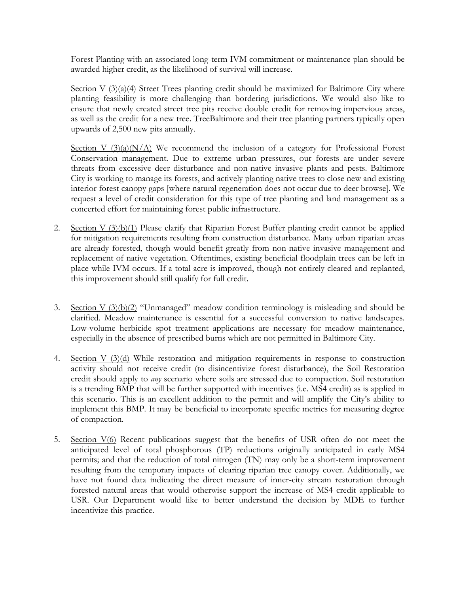Forest Planting with an associated long-term IVM commitment or maintenance plan should be awarded higher credit, as the likelihood of survival will increase.

Section V  $(3)(a)(4)$  Street Trees planting credit should be maximized for Baltimore City where planting feasibility is more challenging than bordering jurisdictions. We would also like to ensure that newly created street tree pits receive double credit for removing impervious areas, as well as the credit for a new tree. TreeBaltimore and their tree planting partners typically open upwards of 2,500 new pits annually.

Section V  $(3)(a)(N/A)$  We recommend the inclusion of a category for Professional Forest Conservation management. Due to extreme urban pressures, our forests are under severe threats from excessive deer disturbance and non-native invasive plants and pests. Baltimore City is working to manage its forests, and actively planting native trees to close new and existing interior forest canopy gaps [where natural regeneration does not occur due to deer browse]. We request a level of credit consideration for this type of tree planting and land management as a concerted effort for maintaining forest public infrastructure.

- 2. Section V (3)(b)(1) Please clarify that Riparian Forest Buffer planting credit cannot be applied for mitigation requirements resulting from construction disturbance. Many urban riparian areas are already forested, though would benefit greatly from non-native invasive management and replacement of native vegetation. Oftentimes, existing beneficial floodplain trees can be left in place while IVM occurs. If a total acre is improved, though not entirely cleared and replanted, this improvement should still qualify for full credit.
- 3. Section V  $(3)(b)(2)$  "Unmanaged" meadow condition terminology is misleading and should be clarified. Meadow maintenance is essential for a successful conversion to native landscapes. Low-volume herbicide spot treatment applications are necessary for meadow maintenance, especially in the absence of prescribed burns which are not permitted in Baltimore City.
- 4. Section V (3)(d) While restoration and mitigation requirements in response to construction activity should not receive credit (to disincentivize forest disturbance), the Soil Restoration credit should apply to *any* scenario where soils are stressed due to compaction. Soil restoration is a trending BMP that will be further supported with incentives (i.e. MS4 credit) as is applied in this scenario. This is an excellent addition to the permit and will amplify the City's ability to implement this BMP. It may be beneficial to incorporate specific metrics for measuring degree of compaction.
- 5. Section V(6) Recent publications suggest that the benefits of USR often do not meet the anticipated level of total phosphorous (TP) reductions originally anticipated in early MS4 permits; and that the reduction of total nitrogen (TN) may only be a short-term improvement resulting from the temporary impacts of clearing riparian tree canopy cover. Additionally, we have not found data indicating the direct measure of inner-city stream restoration through forested natural areas that would otherwise support the increase of MS4 credit applicable to USR. Our Department would like to better understand the decision by MDE to further incentivize this practice.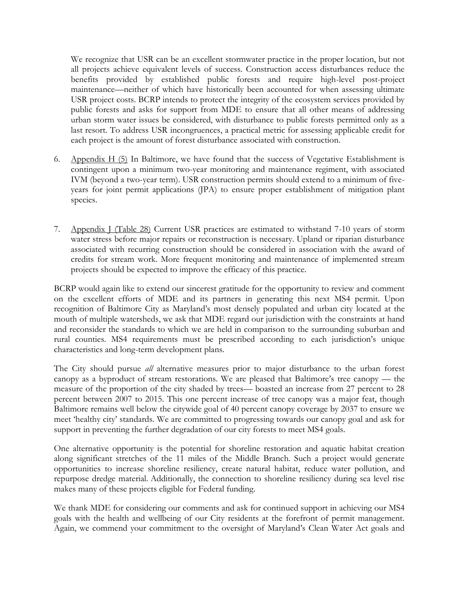We recognize that USR can be an excellent stormwater practice in the proper location, but not all projects achieve equivalent levels of success. Construction access disturbances reduce the benefits provided by established public forests and require high-level post-project maintenance—neither of which have historically been accounted for when assessing ultimate USR project costs. BCRP intends to protect the integrity of the ecosystem services provided by public forests and asks for support from MDE to ensure that all other means of addressing urban storm water issues be considered, with disturbance to public forests permitted only as a last resort. To address USR incongruences, a practical metric for assessing applicable credit for each project is the amount of forest disturbance associated with construction.

- 6. Appendix H  $(5)$  In Baltimore, we have found that the success of Vegetative Establishment is contingent upon a minimum two-year monitoring and maintenance regiment, with associated IVM (beyond a two-year term). USR construction permits should extend to a minimum of fiveyears for joint permit applications (JPA) to ensure proper establishment of mitigation plant species.
- 7. Appendix J (Table 28) Current USR practices are estimated to withstand 7-10 years of storm water stress before major repairs or reconstruction is necessary. Upland or riparian disturbance associated with recurring construction should be considered in association with the award of credits for stream work. More frequent monitoring and maintenance of implemented stream projects should be expected to improve the efficacy of this practice.

BCRP would again like to extend our sincerest gratitude for the opportunity to review and comment on the excellent efforts of MDE and its partners in generating this next MS4 permit. Upon recognition of Baltimore City as Maryland's most densely populated and urban city located at the mouth of multiple watersheds, we ask that MDE regard our jurisdiction with the constraints at hand and reconsider the standards to which we are held in comparison to the surrounding suburban and rural counties. MS4 requirements must be prescribed according to each jurisdiction's unique characteristics and long-term development plans.

The City should pursue *all* alternative measures prior to major disturbance to the urban forest canopy as a byproduct of stream restorations. We are pleased that Baltimore's tree canopy — the measure of the proportion of the city shaded by trees— boasted an increase from 27 percent to 28 percent between 2007 to 2015. This one percent increase of tree canopy was a major feat, though Baltimore remains well below the citywide goal of 40 percent canopy coverage by 2037 to ensure we meet 'healthy city' standards. We are committed to progressing towards our canopy goal and ask for support in preventing the further degradation of our city forests to meet MS4 goals.

One alternative opportunity is the potential for shoreline restoration and aquatic habitat creation along significant stretches of the 11 miles of the Middle Branch. Such a project would generate opportunities to increase shoreline resiliency, create natural habitat, reduce water pollution, and repurpose dredge material. Additionally, the connection to shoreline resiliency during sea level rise makes many of these projects eligible for Federal funding.

We thank MDE for considering our comments and ask for continued support in achieving our MS4 goals with the health and wellbeing of our City residents at the forefront of permit management. Again, we commend your commitment to the oversight of Maryland's Clean Water Act goals and